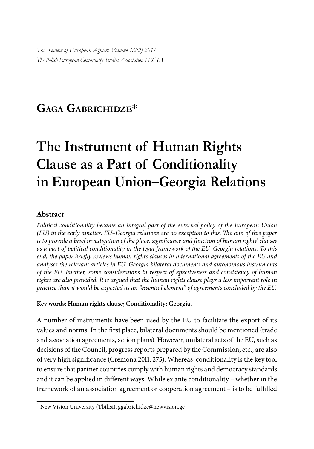*The Review of European Affairs Volume 1:2(2) 2017 The Polish European Community Studies Association PECSA*

# **GAGA GABRICHIDZE**\*

# **The Instrument of Human Rights Clause as a Part of Conditionality in European Union–Georgia Relations**

#### **Abstract**

*Political conditionality became an integral part of the external policy of the European Union (EU) in the early nineties. EU–Georgia relations are no exception to this. The aim of this paper is to provide a brief investigation of the place, significance and function of human rights' clauses as a part of political conditionality in the legal framework of the EU–Georgia relations. To this end, the paper briefly reviews human rights clauses in international agreements of the EU and analyses the relevant articles in EU–Georgia bilateral documents and autonomous instruments of the EU. Further, some considerations in respect of effectiveness and consistency of human rights are also provided. It is argued that the human rights clause plays a less important role in practice than it would be expected as an "essential element" of agreements concluded by the EU.*

#### **Key words: Human rights clause; Conditionality; Georgia.**

A number of instruments have been used by the EU to facilitate the export of its values and norms. In the first place, bilateral documents should be mentioned (trade and association agreements, action plans). However, unilateral acts of the EU, such as decisions of the Council, progress reports prepared by the Commission, etc., are also of very high significance (Cremona 2011, 275). Whereas, conditionality is the key tool to ensure that partner countries comply with human rights and democracy standards and it can be applied in different ways. While  $ex$  ante conditionality – whether in the framework of an association agreement or cooperation agreement - is to be fulfilled

<sup>\*</sup> New Vision University (Tbilisi), ggabrichidze@newvision.ge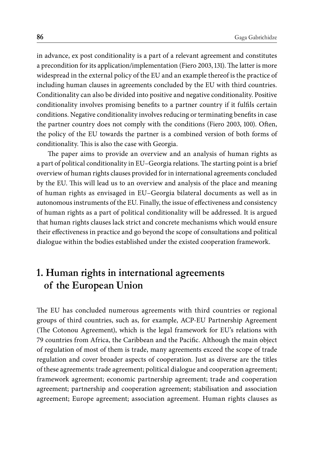in advance, ex post conditionality is a part of a relevant agreement and constitutes a precondition for its application/implementation (Fiero 2003, 131). The latter is more widespread in the external policy of the EU and an example thereof is the practice of including human clauses in agreements concluded by the EU with third countries. Conditionality can also be divided into positive and negative conditionality. Positive conditionality involves promising benefits to a partner country if it fulfils certain conditions. Negative conditionality involves reducing or terminating benefits in case the partner country does not comply with the conditions (Fiero 2003, 100). Often, the policy of the EU towards the partner is a combined version of both forms of conditionality. This is also the case with Georgia.

The paper aims to provide an overview and an analysis of human rights as a part of political conditionality in EU–Georgia relations. The starting point is a brief overview of human rights clauses provided for in international agreements concluded by the EU. This will lead us to an overview and analysis of the place and meaning of human rights as envisaged in EU–Georgia bilateral documents as well as in autonomous instruments of the EU. Finally, the issue of effectiveness and consistency of human rights as a part of political conditionality will be addressed. It is argued that human rights clauses lack strict and concrete mechanisms which would ensure their effectiveness in practice and go beyond the scope of consultations and political dialogue within the bodies established under the existed cooperation framework.

## **1. Human rights in international agreements of the European Union**

The EU has concluded numerous agreements with third countries or regional groups of third countries, such as, for example, ACP-EU Partnership Agreement (The Cotonou Agreement), which is the legal framework for EU's relations with 79 countries from Africa, the Caribbean and the Pacific. Although the main object of regulation of most of them is trade, many agreements exceed the scope of trade regulation and cover broader aspects of cooperation. Just as diverse are the titles of these agreements: trade agreement; political dialogue and cooperation agreement; framework agreement; economic partnership agreement; trade and cooperation agreement; partnership and cooperation agreement; stabilisation and association agreement; Europe agreement; association agreement. Human rights clauses as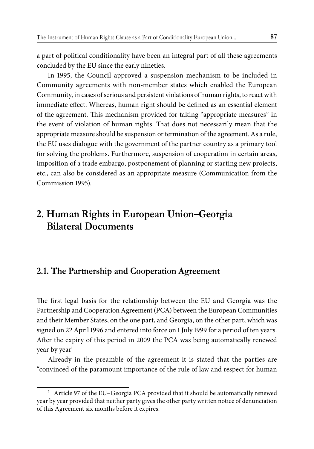a part of political conditionality have been an integral part of all these agreements concluded by the EU since the early nineties.

In 1995, the Council approved a suspension mechanism to be included in Community agreements with non-member states which enabled the European Community, in cases of serious and persistent violations of human rights, to react with immediate effect. Whereas, human right should be defined as an essential element of the agreement. This mechanism provided for taking "appropriate measures" in the event of violation of human rights. That does not necessarily mean that the appropriate measure should be suspension or termination of the agreement. As a rule, the EU uses dialogue with the government of the partner country as a primary tool for solving the problems. Furthermore, suspension of cooperation in certain areas, imposition of a trade embargo, postponement of planning or starting new projects, etc., can also be considered as an appropriate measure (Communication from the Commission 1995).

## **2. Human Rights in European Union–Georgia Bilateral Documents**

#### **2.1. The Partnership and Cooperation Agreement**

The first legal basis for the relationship between the EU and Georgia was the Partnership and Cooperation Agreement (PCA) between the European Communities and their Member States, on the one part, and Georgia, on the other part, which was signed on 22 April 1996 and entered into force on 1 July 1999 for a period of ten years. After the expiry of this period in 2009 the PCA was being automatically renewed year by year<sup>1.</sup>

Already in the preamble of the agreement it is stated that the parties are "convinced of the paramount importance of the rule of law and respect for human

<sup>&</sup>lt;sup>1</sup> Article 97 of the EU-Georgia PCA provided that it should be automatically renewed year by year provided that neither party gives the other party written notice of denunciation of this Agreement six months before it expires.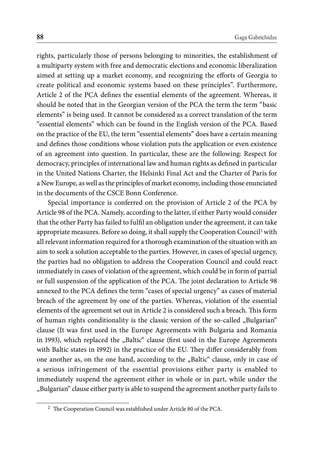rights, particularly those of persons belonging to minorities, the establishment of a multiparty system with free and democratic elections and economic liberalization aimed at setting up a market economy, and recognizing the efforts of Georgia to create political and economic systems based on these principles". Furthermore, Article 2 of the PCA defines the essential elements of the agreement. Whereas, it should be noted that in the Georgian version of the PCA the term the term "basic elements" is being used. It cannot be considered as a correct translation of the term "essential elements" which can be found in the English version of the PCA. Based on the practice of the EU, the term "essential elements" does have a certain meaning and defines those conditions whose violation puts the application or even existence of an agreement into question. In particular, these are the following: Respect for democracy, principles of international law and human rights as defined in particular in the United Nations Charter, the Helsinki Final Act and the Charter of Paris for a New Europe, as well as the principles of market economy, including those enunciated in the documents of the CSCE Bonn Conference.

Special importance is conferred on the provision of Article 2 of the PCA by Article 98 of the PCA. Namely, according to the latter, if either Party would consider that the other Party has failed to fulfil an obligation under the agreement, it can take appropriate measures. Before so doing, it shall supply the Cooperation Council<sup>2</sup> with all relevant information required for a thorough examination of the situation with an aim to seek a solution acceptable to the parties. However, in cases of special urgency, the parties had no obligation to address the Cooperation Council and could react immediately in cases of violation of the agreement, which could be in form of partial or full suspension of the application of the PCA. The joint declaration to Article 98 annexed to the PCA defines the term "cases of special urgency" as cases of material breach of the agreement by one of the parties. Whereas, violation of the essential elements of the agreement set out in Article 2 is considered such a breach. This form of human rights conditionality is the classic version of the so-called "Bulgarian" clause (It was first used in the Europe Agreements with Bulgaria and Romania in 1993), which replaced the "Baltic" clause (first used in the Europe Agreements with Baltic states in 1992) in the practice of the EU. They differ considerably from one another as, on the one hand, according to the "Baltic" clause, only in case of a serious infringement of the essential provisions either party is enabled to immediately suspend the agreement either in whole or in part, while under the "Bulgarian" clause either party is able to suspend the agreement another party fails to

 $^2\,$  The Cooperation Council was established under Article 80 of the PCA.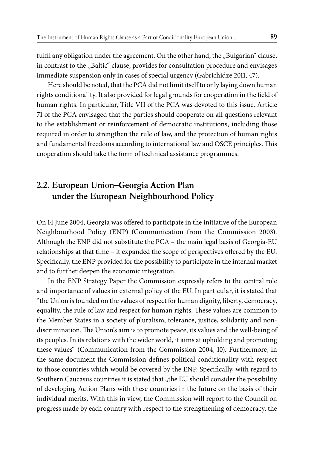fulfil any obligation under the agreement. On the other hand, the "Bulgarian" clause, in contrast to the "Baltic" clause, provides for consultation procedure and envisages immediate suspension only in cases of special urgency (Gabrichidze 2011, 47).

Here should be noted, that the PCA did not limit itself to only laying down human rights conditionality. It also provided for legal grounds for cooperation in the field of human rights. In particular, Title VII of the PCA was devoted to this issue. Article 71 of the PCA envisaged that the parties should cooperate on all questions relevant to the establishment or reinforcement of democratic institutions, including those required in order to strengthen the rule of law, and the protection of human rights and fundamental freedoms according to international law and OSCE principles. This cooperation should take the form of technical assistance programmes.

## **2.2. European Union–Georgia Action Plan under the European Neighbourhood Policy**

On 14 June 2004, Georgia was offered to participate in the initiative of the European Neighbourhood Policy (ENP) (Communication from the Commission 2003). Although the ENP did not substitute the PCA – the main legal basis of Georgia-EU relationships at that time - it expanded the scope of perspectives offered by the EU. Specifically, the ENP provided for the possibility to participate in the internal market and to further deepen the economic integration.

In the ENP Strategy Paper the Commission expressly refers to the central role and importance of values in external policy of the EU. In particular, it is stated that "the Union is founded on the values of respect for human dignity, liberty, democracy, equality, the rule of law and respect for human rights. These values are common to the Member States in a society of pluralism, tolerance, justice, solidarity and nondiscrimination. The Union's aim is to promote peace, its values and the well-being of its peoples. In its relations with the wider world, it aims at upholding and promoting these values" (Communication from the Commission 2004, 10). Furthermore, in the same document the Commission defines political conditionality with respect to those countries which would be covered by the ENP. Specifically, with regard to Southern Caucasus countries it is stated that "the EU should consider the possibility of developing Action Plans with these countries in the future on the basis of their individual merits. With this in view, the Commission will report to the Council on progress made by each country with respect to the strengthening of democracy, the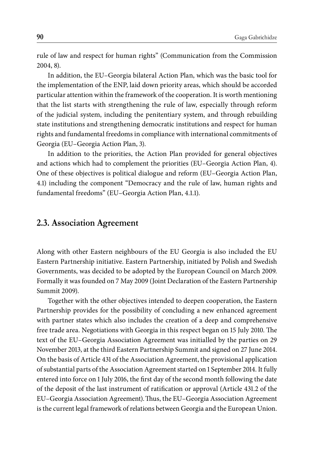rule of law and respect for human rights" (Communication from the Commission 2004, 8).

In addition, the EU–Georgia bilateral Action Plan, which was the basic tool for the implementation of the ENP, laid down priority areas, which should be accorded particular attention within the framework of the cooperation. It is worth mentioning that the list starts with strengthening the rule of law, especially through reform of the judicial system, including the penitentiary system, and through rebuilding state institutions and strengthening democratic institutions and respect for human rights and fundamental freedoms in compliance with international commitments of Georgia (EU–Georgia Action Plan, 3).

In addition to the priorities, the Action Plan provided for general objectives and actions which had to complement the priorities (EU–Georgia Action Plan, 4). One of these objectives is political dialogue and reform (EU–Georgia Action Plan, 4.1) including the component "Democracy and the rule of law, human rights and fundamental freedoms" (EU–Georgia Action Plan, 4.1.1).

#### **2.3. Association Agreement**

Along with other Eastern neighbours of the EU Georgia is also included the EU Eastern Partnership initiative. Eastern Partnership, initiated by Polish and Swedish Governments, was decided to be adopted by the European Council on March 2009. Formally it was founded on 7 May 2009 (Joint Declaration of the Eastern Partnership Summit 2009).

Together with the other objectives intended to deepen cooperation, the Eastern Partnership provides for the possibility of concluding a new enhanced agreement with partner states which also includes the creation of a deep and comprehensive free trade area. Negotiations with Georgia in this respect began on 15 July 2010. The text of the EU–Georgia Association Agreement was initialled by the parties on 29 November 2013, at the third Eastern Partnership Summit and signed on 27 June 2014. On the basis of Article 431 of the Association Agreement, the provisional application of substantial parts of the Association Agreement started on 1 September 2014. It fully entered into force on 1 July 2016, the first day of the second month following the date of the deposit of the last instrument of ratification or approval (Article 431.2 of the EU-Georgia Association Agreement). Thus, the EU-Georgia Association Agreement is the current legal framework of relations between Georgia and the European Union.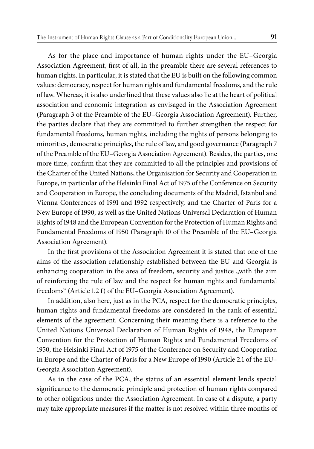As for the place and importance of human rights under the EU–Georgia Association Agreement, first of all, in the preamble there are several references to human rights. In particular, it is stated that the EU is built on the following common values: democracy, respect for human rights and fundamental freedoms, and the rule of law. Whereas, it is also underlined that these values also lie at the heart of political association and economic integration as envisaged in the Association Agreement (Paragraph 3 of the Preamble of the EU–Georgia Association Agreement). Further, the parties declare that they are committed to further strengthen the respect for fundamental freedoms, human rights, including the rights of persons belonging to minorities, democratic principles, the rule of law, and good governance (Paragraph 7 of the Preamble of the EU–Georgia Association Agreement). Besides, the parties, one more time, confirm that they are committed to all the principles and provisions of the Charter of the United Nations, the Organisation for Security and Cooperation in Europe, in particular of the Helsinki Final Act of 1975 of the Conference on Security and Cooperation in Europe, the concluding documents of the Madrid, Istanbul and Vienna Conferences of 1991 and 1992 respectively, and the Charter of Paris for a New Europe of 1990, as well as the United Nations Universal Declaration of Human Rights of 1948 and the European Convention for the Protection of Human Rights and Fundamental Freedoms of 1950 (Paragraph 10 of the Preamble of the EU–Georgia Association Agreement).

In the first provisions of the Association Agreement it is stated that one of the aims of the association relationship established between the EU and Georgia is enhancing cooperation in the area of freedom, security and justice "with the aim of reinforcing the rule of law and the respect for human rights and fundamental freedoms" (Article 1.2 f) of the EU–Georgia Association Agreement).

In addition, also here, just as in the PCA, respect for the democratic principles, human rights and fundamental freedoms are considered in the rank of essential elements of the agreement. Concerning their meaning there is a reference to the United Nations Universal Declaration of Human Rights of 1948, the European Convention for the Protection of Human Rights and Fundamental Freedoms of 1950, the Helsinki Final Act of 1975 of the Conference on Security and Cooperation in Europe and the Charter of Paris for a New Europe of 1990 (Article 2.1 of the EU– Georgia Association Agreement).

As in the case of the PCA, the status of an essential element lends special significance to the democratic principle and protection of human rights compared to other obligations under the Association Agreement. In case of a dispute, a party may take appropriate measures if the matter is not resolved within three months of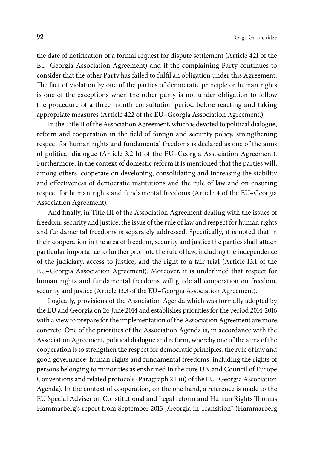the date of notification of a formal request for dispute settlement (Article 421 of the EU–Georgia Association Agreement) and if the complaining Party continues to consider that the other Party has failed to fulfil an obligation under this Agreement. The fact of violation by one of the parties of democratic principle or human rights is one of the exceptions when the other party is not under obligation to follow the procedure of a three month consultation period before reacting and taking appropriate measures (Article 422 of the EU–Georgia Association Agreement.).

In the Title II of the Association Agreement, which is devoted to political dialogue, reform and cooperation in the field of foreign and security policy, strengthening respect for human rights and fundamental freedoms is declared as one of the aims of political dialogue (Article 3.2 h) of the EU–Georgia Association Agreement). Furthermore, in the context of domestic reform it is mentioned that the parties will, among others, cooperate on developing, consolidating and increasing the stability and effectiveness of democratic institutions and the rule of law and on ensuring respect for human rights and fundamental freedoms (Article 4 of the EU–Georgia Association Agreement).

And finally, in Title III of the Association Agreement dealing with the issues of freedom, security and justice, the issue of the rule of law and respect for human rights and fundamental freedoms is separately addressed. Specifically, it is noted that in their cooperation in the area of freedom, security and justice the parties shall attach particular importance to further promote the rule of law, including the independence of the judiciary, access to justice, and the right to a fair trial (Article 13.1 of the EU–Georgia Association Agreement). Moreover, it is underlined that respect for human rights and fundamental freedoms will guide all cooperation on freedom, security and justice (Article 13.3 of the EU–Georgia Association Agreement).

Logically, provisions of the Association Agenda which was formally adopted by the EU and Georgia on 26 June 2014 and establishes priorities for the period 2014-2016 with a view to prepare for the implementation of the Association Agreement are more concrete. One of the priorities of the Association Agenda is, in accordance with the Association Agreement, political dialogue and reform, whereby one of the aims of the cooperation is to strengthen the respect for democratic principles, the rule of law and good governance, human rights and fundamental freedoms, including the rights of persons belonging to minorities as enshrined in the core UN and Council of Europe Conventions and related protocols (Paragraph 2.1 iii) of the EU–Georgia Association Agenda). In the context of cooperation, on the one hand, a reference is made to the EU Special Adviser on Constitutional and Legal reform and Human Rights Thomas Hammarberg's report from September 2013 "Georgia in Transition" (Hammarberg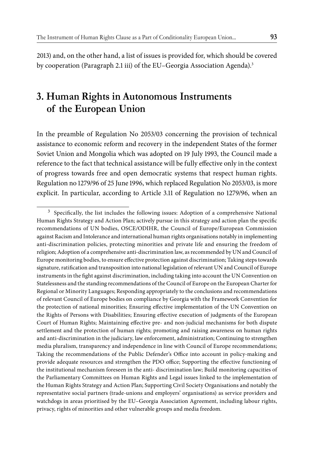2013) and, on the other hand, a list of issues is provided for, which should be covered by cooperation (Paragraph 2.1 iii) of the EU–Georgia Association Agenda).<sup>3</sup>

## **3. Human Rights in Autonomous Instruments of the European Union**

In the preamble of Regulation No 2053/03 concerning the provision of technical assistance to economic reform and recovery in the independent States of the former Soviet Union and Mongolia which was adopted on 19 July 1993, the Council made a reference to the fact that technical assistance will be fully effective only in the context of progress towards free and open democratic systems that respect human rights. Regulation no 1279/96 of 25 June 1996, which replaced Regulation No 2053/03, is more explicit. In particular, according to Article 3.11 of Regulation no 1279/96, when an

<sup>&</sup>lt;sup>3</sup> Specifically, the list includes the following issues: Adoption of a comprehensive National Human Rights Strategy and Action Plan; actively pursue in this strategy and action plan the specific recommendations of UN bodies, OSCE/ODIHR, the Council of Europe/European Commission against Racism and Intolerance and international human rights organisations notably in implementing anti-discrimination policies, protecting minorities and private life and ensuring the freedom of religion; Adoption of a comprehensive anti-discrimination law, as recommended by UN and Council of Europe monitoring bodies, to ensure effective protection against discrimination; Taking steps towards signature, ratification and transposition into national legislation of relevant UN and Council of Europe instruments in the fight against discrimination, including taking into account the UN Convention on Statelessness and the standing recommendations of the Council of Europe on the European Charter for Regional or Minority Languages; Responding appropriately to the conclusions and recommendations of relevant Council of Europe bodies on compliance by Georgia with the Framework Convention for the protection of national minorities; Ensuring effective implementation of the UN Convention on the Rights of Persons with Disabilities; Ensuring effective execution of judgments of the European Court of Human Rights; Maintaining effective pre- and non-judicial mechanisms for both dispute settlement and the protection of human rights; promoting and raising awareness on human rights and anti-discrimination in the judiciary, law enforcement, administration; Continuing to strengthen media pluralism, transparency and independence in line with Council of Europe recommendations; Taking the recommendations of the Public Defender's Office into account in policy-making and provide adequate resources and strengthen the PDO office; Supporting the effective functioning of the institutional mechanism foreseen in the anti- discrimination law; Build monitoring capacities of the Parliamentary Committees on Human Rights and Legal issues linked to the implementation of the Human Rights Strategy and Action Plan; Supporting Civil Society Organisations and notably the representative social partners (trade-unions and employers' organisations) as service providers and watchdogs in areas prioritised by the EU–Georgia Association Agreement, including labour rights, privacy, rights of minorities and other vulnerable groups and media freedom.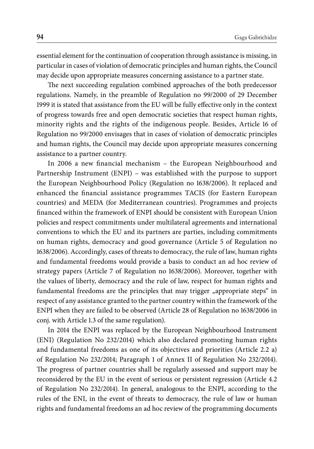essential element for the continuation of cooperation through assistance is missing, in particular in cases of violation of democratic principles and human rights, the Council may decide upon appropriate measures concerning assistance to a partner state.

The next succeeding regulation combined approaches of the both predecessor regulations. Namely, in the preamble of Regulation no 99/2000 of 29 December 1999 it is stated that assistance from the EU will be fully effective only in the context of progress towards free and open democratic societies that respect human rights, minority rights and the rights of the indigenous people. Besides, Article 16 of Regulation no 99/2000 envisages that in cases of violation of democratic principles and human rights, the Council may decide upon appropriate measures concerning assistance to a partner country.

In 2006 a new financial mechanism - the European Neighbourhood and Partnership Instrument (ENPI) – was established with the purpose to support the European Neighbourhood Policy (Regulation no 1638/2006). It replaced and enhanced the financial assistance programmes TACIS (for Eastern European countries) and MEDA (for Mediterranean countries). Programmes and projects financed within the framework of ENPI should be consistent with European Union policies and respect commitments under multilateral agreements and international conventions to which the EU and its partners are parties, including commitments on human rights, democracy and good governance (Article 5 of Regulation no 1638/2006). Accordingly, cases of threats to democracy, the rule of law, human rights and fundamental freedoms would provide a basis to conduct an ad hoc review of strategy papers (Article 7 of Regulation no 1638/2006). Moreover, together with the values of liberty, democracy and the rule of law, respect for human rights and fundamental freedoms are the principles that may trigger "appropriate steps" in respect of any assistance granted to the partner country within the framework of the ENPI when they are failed to be observed (Article 28 of Regulation no 1638/2006 in conj. with Article 1.3 of the same regulation).

In 2014 the ENPI was replaced by the European Neighbourhood Instrument (ENI) (Regulation No 232/2014) which also declared promoting human rights and fundamental freedoms as one of its objectives and priorities (Article 2.2 a) of Regulation No 232/2014; Paragraph 1 of Annex II of Regulation No 232/2014). The progress of partner countries shall be regularly assessed and support may be reconsidered by the EU in the event of serious or persistent regression (Article 4.2 of Regulation No 232/2014). In general, analogous to the ENPI, according to the rules of the ENI, in the event of threats to democracy, the rule of law or human rights and fundamental freedoms an ad hoc review of the programming documents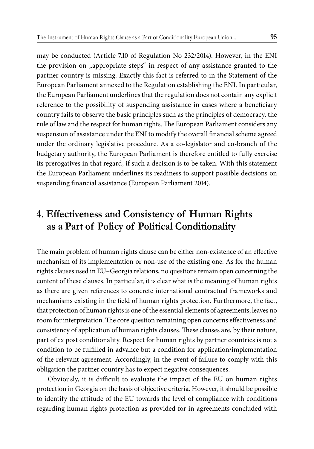may be conducted (Article 7.10 of Regulation No 232/2014). However, in the ENI the provision on "appropriate steps" in respect of any assistance granted to the partner country is missing. Exactly this fact is referred to in the Statement of the European Parliament annexed to the Regulation establishing the ENI. In particular, the European Parliament underlines that the regulation does not contain any explicit reference to the possibility of suspending assistance in cases where a beneficiary country fails to observe the basic principles such as the principles of democracy, the rule of law and the respect for human rights. The European Parliament considers any suspension of assistance under the ENI to modify the overall financial scheme agreed under the ordinary legislative procedure. As a co-legislator and co-branch of the budgetary authority, the European Parliament is therefore entitled to fully exercise its prerogatives in that regard, if such a decision is to be taken. With this statement the European Parliament underlines its readiness to support possible decisions on suspending financial assistance (European Parliament 2014).

## **4. Effectiveness and Consistency of Human Rights as a Part of Policy of Political Conditionality**

The main problem of human rights clause can be either non-existence of an effective mechanism of its implementation or non-use of the existing one. As for the human rights clauses used in EU–Georgia relations, no questions remain open concerning the content of these clauses. In particular, it is clear what is the meaning of human rights as there are given references to concrete international contractual frameworks and mechanisms existing in the field of human rights protection. Furthermore, the fact, that protection of human rights is one of the essential elements of agreements, leaves no room for interpretation. The core question remaining open concerns effectiveness and consistency of application of human rights clauses. These clauses are, by their nature, part of ex post conditionality. Respect for human rights by partner countries is not a condition to be fulfilled in advance but a condition for application/implementation of the relevant agreement. Accordingly, in the event of failure to comply with this obligation the partner country has to expect negative consequences.

Obviously, it is difficult to evaluate the impact of the EU on human rights protection in Georgia on the basis of objective criteria. However, it should be possible to identify the attitude of the EU towards the level of compliance with conditions regarding human rights protection as provided for in agreements concluded with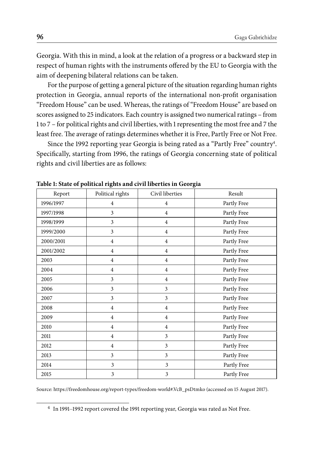Georgia. With this in mind, a look at the relation of a progress or a backward step in respect of human rights with the instruments offered by the EU to Georgia with the aim of deepening bilateral relations can be taken.

For the purpose of getting a general picture of the situation regarding human rights protection in Georgia, annual reports of the international non-profit organisation "Freedom House" can be used. Whereas, the ratings of "Freedom House" are based on scores assigned to 25 indicators. Each country is assigned two numerical ratings – from 1 to 7 – for political rights and civil liberties, with 1 representing the most free and 7 the least free. The average of ratings determines whether it is Free, Partly Free or Not Free.

Since the 1992 reporting year Georgia is being rated as a "Partly Free" country<sup>4</sup>. Specifically, starting from 1996, the ratings of Georgia concerning state of political rights and civil liberties are as follows:

| Table 1: State of political rights and civil moet ties in Georgia |                         |                 |             |
|-------------------------------------------------------------------|-------------------------|-----------------|-------------|
| Report                                                            | Political rights        | Civil liberties | Result      |
| 1996/1997                                                         | $\overline{4}$          | $\overline{4}$  | Partly Free |
| 1997/1998                                                         | $\overline{3}$          | $\overline{4}$  | Partly Free |
| 1998/1999                                                         | $\overline{3}$          | $\overline{4}$  | Partly Free |
| 1999/2000                                                         | $\overline{3}$          | $\overline{4}$  | Partly Free |
| 2000/2001                                                         | $\overline{4}$          | $\overline{4}$  | Partly Free |
| 2001/2002                                                         | $\overline{4}$          | $\overline{4}$  | Partly Free |
| 2003                                                              | $\overline{4}$          | $\overline{4}$  | Partly Free |
| 2004                                                              | $\overline{4}$          | $\overline{4}$  | Partly Free |
| 2005                                                              | 3                       | $\overline{4}$  | Partly Free |
| 2006                                                              | 3                       | 3               | Partly Free |
| 2007                                                              | 3                       | $\overline{3}$  | Partly Free |
| 2008                                                              | $\overline{4}$          | $\overline{4}$  | Partly Free |
| 2009                                                              | $\overline{4}$          | $\overline{4}$  | Partly Free |
| 2010                                                              | $\overline{4}$          | $\overline{4}$  | Partly Free |
| 2011                                                              | $\overline{4}$          | 3               | Partly Free |
| 2012                                                              | $\overline{4}$          | 3               | Partly Free |
| 2013                                                              | $\overline{3}$          | 3               | Partly Free |
| 2014                                                              | 3                       | 3               | Partly Free |
| 2015                                                              | $\overline{\mathbf{3}}$ | $\mathfrak{Z}$  | Partly Free |

**Table 1: State of political rights and civil liberties in Georgia** 

Source: https://freedomhouse.org/report-types/freedom-world#.VcB\_psDtmko (accessed on 15 August 2017).

<sup>4</sup> In 1991–1992 report covered the 1991 reporting year, Georgia was rated as Not Free.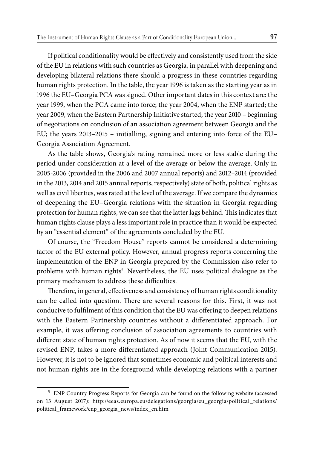If political conditionality would be effectively and consistently used from the side of the EU in relations with such countries as Georgia, in parallel with deepening and developing bilateral relations there should a progress in these countries regarding human rights protection. In the table, the year 1996 is taken as the starting year as in 1996 the EU–Georgia PCA was signed. Other important dates in this context are: the year 1999, when the PCA came into force; the year 2004, when the ENP started; the year 2009, when the Eastern Partnership Initiative started; the year 2010 – beginning of negotiations on conclusion of an association agreement between Georgia and the EU; the years 2013–2015 – initialling, signing and entering into force of the EU– Georgia Association Agreement.

As the table shows, Georgia's rating remained more or less stable during the period under consideration at a level of the average or below the average. Only in 2005-2006 (provided in the 2006 and 2007 annual reports) and 2012–2014 (provided in the 2013, 2014 and 2015 annual reports, respectively) state of both, political rights as well as civil liberties, was rated at the level of the average. If we compare the dynamics of deepening the EU–Georgia relations with the situation in Georgia regarding protection for human rights, we can see that the latter lags behind. This indicates that human rights clause plays a less important role in practice than it would be expected by an "essential element" of the agreements concluded by the EU.

Of course, the "Freedom House" reports cannot be considered a determining factor of the EU external policy. However, annual progress reports concerning the implementation of the ENP in Georgia prepared by the Commission also refer to problems with human rights<sup>5</sup>. Nevertheless, the EU uses political dialogue as the primary mechanism to address these difficulties.

Therefore, in general, effectiveness and consistency of human rights conditionality can be called into question. There are several reasons for this. First, it was not conducive to fulfilment of this condition that the EU was offering to deepen relations with the Eastern Partnership countries without a differentiated approach. For example, it was offering conclusion of association agreements to countries with different state of human rights protection. As of now it seems that the EU, with the revised ENP, takes a more differentiated approach (Joint Communication 2015). However, it is not to be ignored that sometimes economic and political interests and not human rights are in the foreground while developing relations with a partner

<sup>5</sup> ENP Country Progress Reports for Georgia can be found on the following website (accessed on 13 August 2017): http://eeas.europa.eu/delegations/georgia/eu\_georgia/political\_relations/ political\_framework/enp\_georgia\_news/index\_en.htm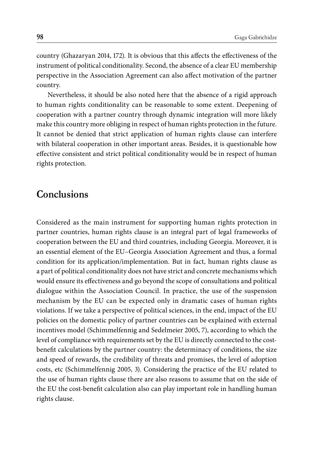country (Ghazaryan 2014, 172). It is obvious that this affects the effectiveness of the instrument of political conditionality. Second, the absence of a clear EU membership perspective in the Association Agreement can also affect motivation of the partner country.

Nevertheless, it should be also noted here that the absence of a rigid approach to human rights conditionality can be reasonable to some extent. Deepening of cooperation with a partner country through dynamic integration will more likely make this country more obliging in respect of human rights protection in the future. It cannot be denied that strict application of human rights clause can interfere with bilateral cooperation in other important areas. Besides, it is questionable how effective consistent and strict political conditionality would be in respect of human rights protection.

## **Conclusions**

Considered as the main instrument for supporting human rights protection in partner countries, human rights clause is an integral part of legal frameworks of cooperation between the EU and third countries, including Georgia. Moreover, it is an essential element of the EU–Georgia Association Agreement and thus, a formal condition for its application/implementation. But in fact, human rights clause as a part of political conditionality does not have strict and concrete mechanisms which would ensure its effectiveness and go beyond the scope of consultations and political dialogue within the Association Council. In practice, the use of the suspension mechanism by the EU can be expected only in dramatic cases of human rights violations. If we take a perspective of political sciences, in the end, impact of the EU policies on the domestic policy of partner countries can be explained with external incentives model (Schimmelfennig and Sedelmeier 2005, 7), according to which the level of compliance with requirements set by the EU is directly connected to the costbenefit calculations by the partner country: the determinacy of conditions, the size and speed of rewards, the credibility of threats and promises, the level of adoption costs, etc (Schimmelfennig 2005, 3). Considering the practice of the EU related to the use of human rights clause there are also reasons to assume that on the side of the EU the cost-benefit calculation also can play important role in handling human rights clause.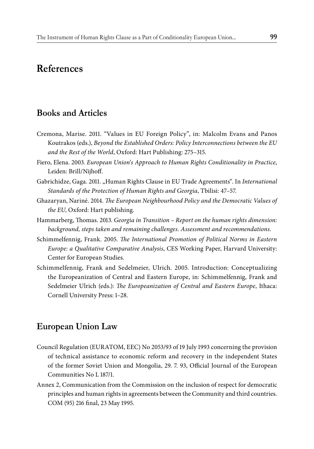## **References**

### **Books and Articles**

- Cremona, Marise. 2011. "Values in EU Foreign Policy", in: Malcolm Evans and Panos Koutrakos (eds.), *Beyond the Established Orders: Policy Interconnections between the EU and the Rest of the World*, Oxford: Hart Publishing: 275–315.
- Fiero, Elena. 2003. *European Union's Approach to Human Rights Conditionality in Practice*, Leiden: Brill/Nijhoff.
- Gabrichidze, Gaga. 2011. "Human Rights Clause in EU Trade Agreements". In *International Standards of the Protection of Human Rights and Georgia*, Tbilisi: 47–57.
- Ghazaryan, Nariné. 2014. *The European Neighbourhood Policy and the Democratic Values of the EU*, Oxford: Hart publishing.
- Hammarberg, Thomas. 2013. *Georgia in Transition Report on the human rights dimension*: *background, steps taken and remaining challenges. Assessment and recommendations.*
- Schimmelfennig, Frank. 2005. *The International Promotion of Political Norms in Eastern Europe: a Qualitative Comparative Analysis*, CES Working Paper, Harvard University: Center for European Studies.
- Schimmelfennig, Frank and Sedelmeier, Ulrich. 2005. Introduction: Conceptualizing the Europeanization of Central and Eastern Europe, in: Schimmelfennig, Frank and Sedelmeier Ulrich (eds.): *The Europeanization of Central and Eastern Europe*, Ithaca: Cornell University Press: 1–28.

### **European Union Law**

- Council Regulation (EURATOM, EEC) No 2053/93 of 19 July 1993 concerning the provision of technical assistance to economic reform and recovery in the independent States of the former Soviet Union and Mongolia, 29. 7. 93, Official Journal of the European Communities No L 187/1.
- Annex 2, Communication from the Commission on the inclusion of respect for democratic principles and human rights in agreements between the Community and third countries. COM (95) 216 final, 23 May 1995.